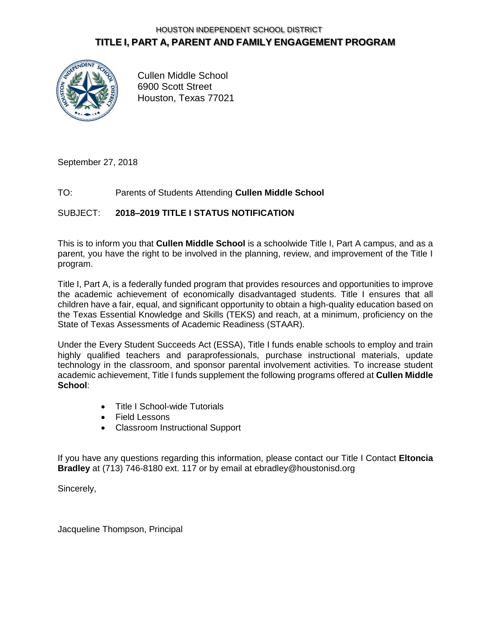### HOUSTON INDEPENDENT SCHOOL DISTRICT **TITLE I, PART A, PARENT AND FAMILY ENGAGEMENT PROGRAM**



Cullen Middle School 6900 Scott Street Houston, Texas 77021

September 27, 2018

### TO: Parents of Students Attending **Cullen Middle School**

#### SUBJECT: **2018–2019 TITLE I STATUS NOTIFICATION**

This is to inform you that **Cullen Middle School** is a schoolwide Title I, Part A campus, and as a parent, you have the right to be involved in the planning, review, and improvement of the Title I program.

Title I, Part A, is a federally funded program that provides resources and opportunities to improve the academic achievement of economically disadvantaged students. Title I ensures that all children have a fair, equal, and significant opportunity to obtain a high-quality education based on the Texas Essential Knowledge and Skills (TEKS) and reach, at a minimum, proficiency on the State of Texas Assessments of Academic Readiness (STAAR).

Under the Every Student Succeeds Act (ESSA), Title I funds enable schools to employ and train highly qualified teachers and paraprofessionals, purchase instructional materials, update technology in the classroom, and sponsor parental involvement activities. To increase student academic achievement, Title I funds supplement the following programs offered at **Cullen Middle School**:

- Title I School-wide Tutorials
- Field Lessons
- Classroom Instructional Support

If you have any questions regarding this information, please contact our Title I Contact **Eltoncia Bradley** at (713) 746-8180 ext. 117 or by email at ebradley@houstonisd.org

Sincerely,

Jacqueline Thompson, Principal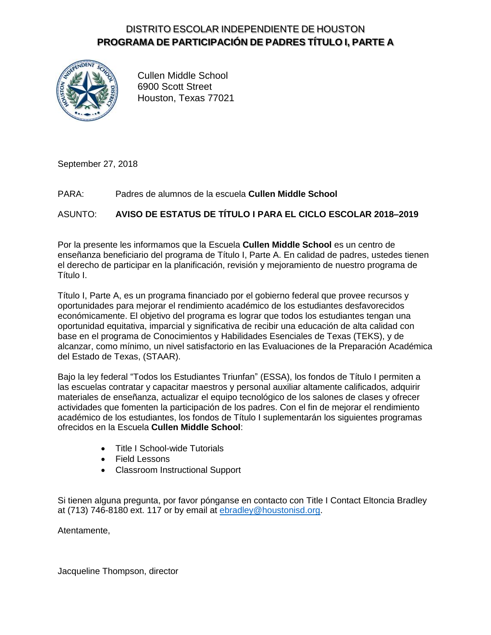# DISTRITO ESCOLAR INDEPENDIENTE DE HOUSTON **PROGRAMA DE PARTICIPACIÓN DE PADRES TÍTULO I, PARTE A**



Cullen Middle School 6900 Scott Street Houston, Texas 77021

September 27, 2018

#### PARA: Padres de alumnos de la escuela **Cullen Middle School**

#### ASUNTO: **AVISO DE ESTATUS DE TÍTULO I PARA EL CICLO ESCOLAR 2018–2019**

Por la presente les informamos que la Escuela **Cullen Middle School** es un centro de enseñanza beneficiario del programa de Título I, Parte A. En calidad de padres, ustedes tienen el derecho de participar en la planificación, revisión y mejoramiento de nuestro programa de Título I.

Título I, Parte A, es un programa financiado por el gobierno federal que provee recursos y oportunidades para mejorar el rendimiento académico de los estudiantes desfavorecidos económicamente. El objetivo del programa es lograr que todos los estudiantes tengan una oportunidad equitativa, imparcial y significativa de recibir una educación de alta calidad con base en el programa de Conocimientos y Habilidades Esenciales de Texas (TEKS), y de alcanzar, como mínimo, un nivel satisfactorio en las Evaluaciones de la Preparación Académica del Estado de Texas, (STAAR).

Bajo la ley federal "Todos los Estudiantes Triunfan" (ESSA), los fondos de Título I permiten a las escuelas contratar y capacitar maestros y personal auxiliar altamente calificados, adquirir materiales de enseñanza, actualizar el equipo tecnológico de los salones de clases y ofrecer actividades que fomenten la participación de los padres. Con el fin de mejorar el rendimiento académico de los estudiantes, los fondos de Título I suplementarán los siguientes programas ofrecidos en la Escuela **Cullen Middle School**:

- Title I School-wide Tutorials
- Field Lessons
- Classroom Instructional Support

Si tienen alguna pregunta, por favor pónganse en contacto con Title I Contact Eltoncia Bradley at (713) 746-8180 ext. 117 or by email at [ebradley@houstonisd.org.](mailto:ebradley@houstonisd.org)

Atentamente,

Jacqueline Thompson, director